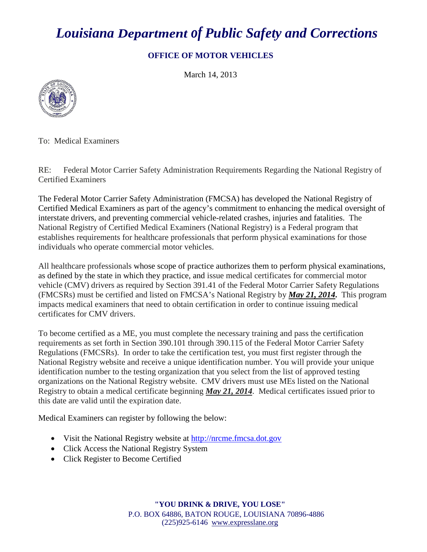## *Louisiana Department of Public Safety and Corrections*

## **OFFICE OF MOTOR VEHICLES**

March 14, 2013



To: Medical Examiners

RE: Federal Motor Carrier Safety Administration Requirements Regarding the National Registry of Certified Examiners

The Federal Motor Carrier Safety Administration (FMCSA) has developed the National Registry of Certified Medical Examiners as part of the agency's commitment to enhancing the medical oversight of interstate drivers, and preventing commercial vehicle-related crashes, injuries and fatalities. The National Registry of Certified Medical Examiners (National Registry) is a Federal program that establishes requirements for healthcare professionals that perform physical examinations for those individuals who operate commercial motor vehicles.

All healthcare professionals whose scope of practice authorizes them to perform physical examinations, as defined by the state in which they practice, and issue medical certificates for commercial motor vehicle (CMV) drivers as required by Section 391.41 of the Federal Motor Carrier Safety Regulations (FMCSRs) must be certified and listed on FMCSA's National Registry by *May 21, 2014***.** This program impacts medical examiners that need to obtain certification in order to continue issuing medical certificates for CMV drivers.

To become certified as a ME, you must complete the necessary training and pass the certification requirements as set forth in Section 390.101 through 390.115 of the Federal Motor Carrier Safety Regulations (FMCSRs). In order to take the certification test, you must first register through the National Registry website and receive a unique identification number. You will provide your unique identification number to the testing organization that you select from the list of approved testing organizations on the National Registry website. CMV drivers must use MEs listed on the National Registry to obtain a medical certificate beginning *May 21, 2014*. Medical certificates issued prior to this date are valid until the expiration date.

Medical Examiners can register by following the below:

- Visit the National Registry website at [http://nrcme.fmcsa.dot.gov](http://nrcme.fmcsa.dot.gov/)
- Click [Access the National Registry System](http://nationalregistry.fmcsa.dot.gov/)
- Click Register to Become Certified